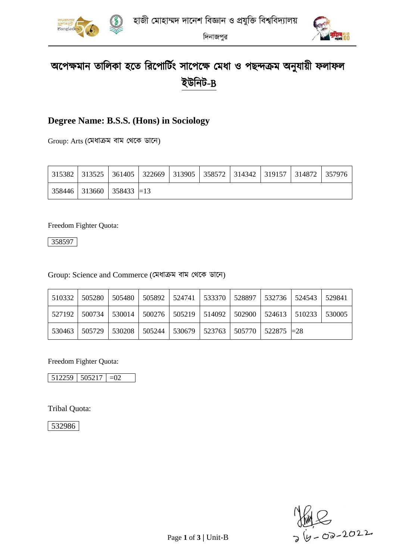



দিনাজপুর

# অপেক্ষমান তালিকা হতে রিপোর্টিং সাপেক্ষে মেধা ও পছন্দক্রম অনুযায়ী ফলাফল ইউনিট-B

### **Degree Name: B.S.S. (Hons) in Sociology**

Group: Arts (মমধাক্রম বাম মেপক ডাপন)

|  |                                                          |  | 315382   313525   361405   322669   313905   358572   314342   319157   314872   357976 |  |  |
|--|----------------------------------------------------------|--|-----------------------------------------------------------------------------------------|--|--|
|  | $\vert$ 358446 $\vert$ 313660 $\vert$ 358433 $\vert$ =13 |  |                                                                                         |  |  |

Freedom Fighter Quota:

358597

#### Group: Science and Commerce (মমধাক্রম বাম মেপক ডাপন)

|  | 510332   505280   505480   505892   524741   533370   528897   532736   524543   529841       |  |  |  |  |
|--|-----------------------------------------------------------------------------------------------|--|--|--|--|
|  | 527192   500734   530014   500276   505219   514092   502900   524613   510233   530005       |  |  |  |  |
|  | $530463$   $505729$   $530208$   $505244$   $530679$   $523763$   $505770$   $522875$   $=28$ |  |  |  |  |

Freedom Fighter Quota:

 $\begin{array}{|c|c|c|c|c|c|} \hline 512259 & 505217 & =02 \\ \hline \end{array}$ 

Tribal Quota:

532986

 $M = 2022$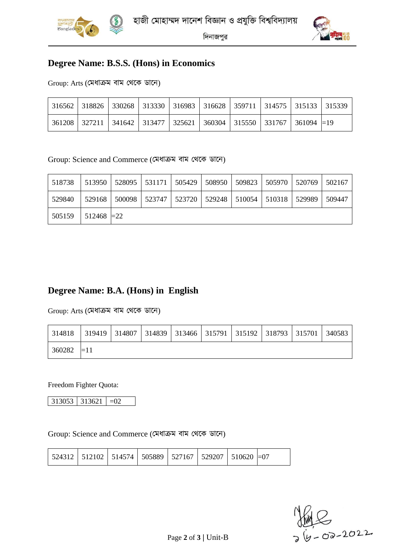



দিনাজপুর

#### **Degree Name: B.S.S. (Hons) in Economics**

Group: Arts (মমধাক্রম বাম মেপক ডাপন)

|  |  |  | 316562   318826   330268   313330   316983   316628   359711   314575   315133   315339 |  |
|--|--|--|-----------------------------------------------------------------------------------------|--|
|  |  |  | 361208   327211   341642   313477   325621   360304   315550   331767   361094   = 19   |  |

Group: Science and Commerce (মমধাক্রম বাম মেপক ডাপন)

| 518738 | 513950        |        | 528095   531171   505429 |                                            | 508950   509823   505970 | 520769 | 502167 |
|--------|---------------|--------|--------------------------|--------------------------------------------|--------------------------|--------|--------|
| 529840 | 529168        | 500098 |                          | 523747   523720   529248   510054   510318 |                          | 529989 | 509447 |
| 505159 | $512468 = 22$ |        |                          |                                            |                          |        |        |

### **Degree Name: B.A. (Hons) in English**

Group: Arts (মমধাক্রম বাম মেপক ডাপন)

| 314818 | 319419   314807   314839   313466   315791   315192   318793   315701 |  |  |  | 340583 |
|--------|-----------------------------------------------------------------------|--|--|--|--------|
| 360282 | $=1.1$                                                                |  |  |  |        |

Freedom Fighter Quota:

313053 313621 =02

Group: Science and Commerce (মমধাক্রম বাম মেপক ডাপন)

|  |  | 524312   512102   514574   505889   527167   529207   510620  =07 |  |  |  |  |
|--|--|-------------------------------------------------------------------|--|--|--|--|
|--|--|-------------------------------------------------------------------|--|--|--|--|

 $6 - 02 - 2022$